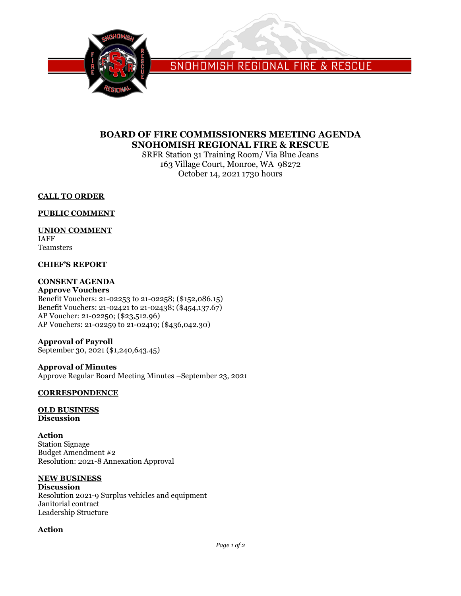

SNOHOMISH REGIONAL FIRE & RESCUE

# **BOARD OF FIRE COMMISSIONERS MEETING AGENDA SNOHOMISH REGIONAL FIRE & RESCUE**

SRFR Station 31 Training Room/ Via Blue Jeans 163 Village Court, Monroe, WA 98272 October 14, 2021 1730 hours

## **CALL TO ORDER**

## **PUBLIC COMMENT**

## **UNION COMMENT**

IAFF Teamsters

## **CHIEF'S REPORT**

## **CONSENT AGENDA**

**Approve Vouchers** Benefit Vouchers: 21-02253 to 21-02258; (\$152,086.15) Benefit Vouchers: 21-02421 to 21-02438; (\$454,137.67) AP Voucher: 21-02250; (\$23,512.96) AP Vouchers: 21-02259 to 21-02419; (\$436,042.30)

#### **Approval of Payroll** September 30, 2021 (\$1,240,643.45)

**Approval of Minutes** Approve Regular Board Meeting Minutes –September 23, 2021

# **CORRESPONDENCE**

#### **OLD BUSINESS Discussion**

**Action** Station Signage Budget Amendment #2 Resolution: 2021-8 Annexation Approval

## **NEW BUSINESS**

**Discussion** Resolution 2021-9 Surplus vehicles and equipment Janitorial contract Leadership Structure

## **Action**